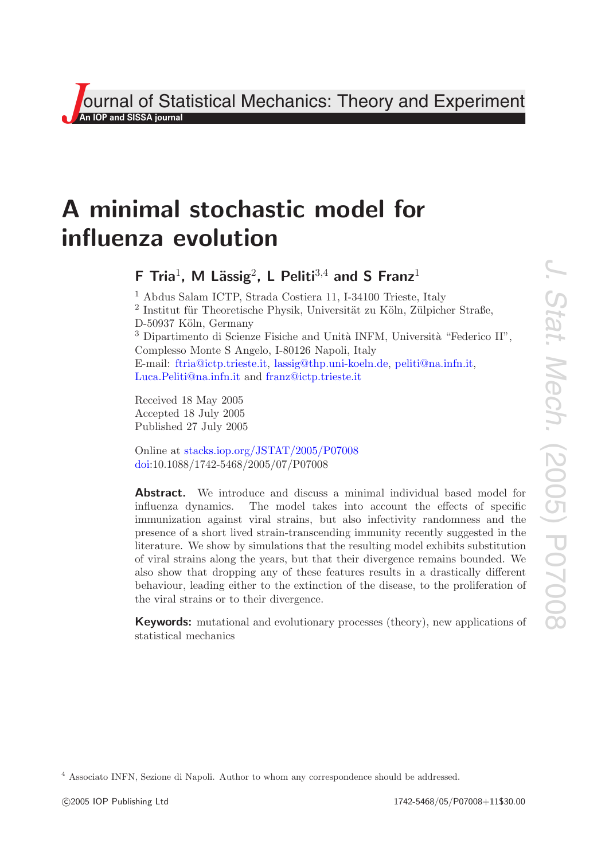**J**<br>**An IOP and SISSA journal**<br>*An* **IOP and SISSA journal** Theory and Experiment

# **A minimal stochastic model for influenza evolution**

# **F** Tria<sup>1</sup>, M Lässig<sup>2</sup>, L Peliti<sup>3,4</sup> and S Franz<sup>1</sup>

<sup>1</sup> Abdus Salam ICTP, Strada Costiera 11, I-34100 Trieste, Italy  $2$  Institut für Theoretische Physik, Universität zu Köln, Zülpicher Straße, D-50937 Köln, Germany  $3$  Dipartimento di Scienze Fisiche and Unità INFM, Università "Federico II", Complesso Monte S Angelo, I-80126 Napoli, Italy E-mail: [ftria@ictp.trieste.it,](mailto:ftria@ictp.trieste.it) [lassig@thp.uni-koeln.de,](mailto:lassig@thp.uni-koeln.de) [peliti@na.infn.it,](mailto:peliti@na.infn.it) [Luca.Peliti@na.infn.it](mailto:Luca.Peliti@na.infn.it) and [franz@ictp.trieste.it](mailto:franz@ictp.trieste.it)

Received 18 May 2005 Accepted 18 July 2005 Published 27 July 2005

Online at [stacks.iop.org/JSTAT/2005/P07008](http://stacks.iop.org/JSTAT/2005/P07008) [doi:](http://dx.doi.org/10.1088/1742-5468/2005/07/P07008)10.1088/1742-5468/2005/07/P07008

<sup>4</sup> Associato INFN, Sezione di Napoli. Author to whom any correspondence should be addressed.

**Abstract.** We introduce and discuss a minimal individual based model for influenza dynamics. The model takes into account the effects of specific immunization against viral strains, but also infectivity randomness and the presence of a short lived strain-transcending immunity recently suggested in the literature. We show by simulations that the resulting model exhibits substitution of viral strains along the years, but that their divergence remains bounded. We also show that dropping any of these features results in a drastically different behaviour, leading either to the extinction of the disease, to the proliferation of the viral strains or to their divergence.

**Keywords:** mutational and evolutionary processes (theory), new applications of statistical mechanics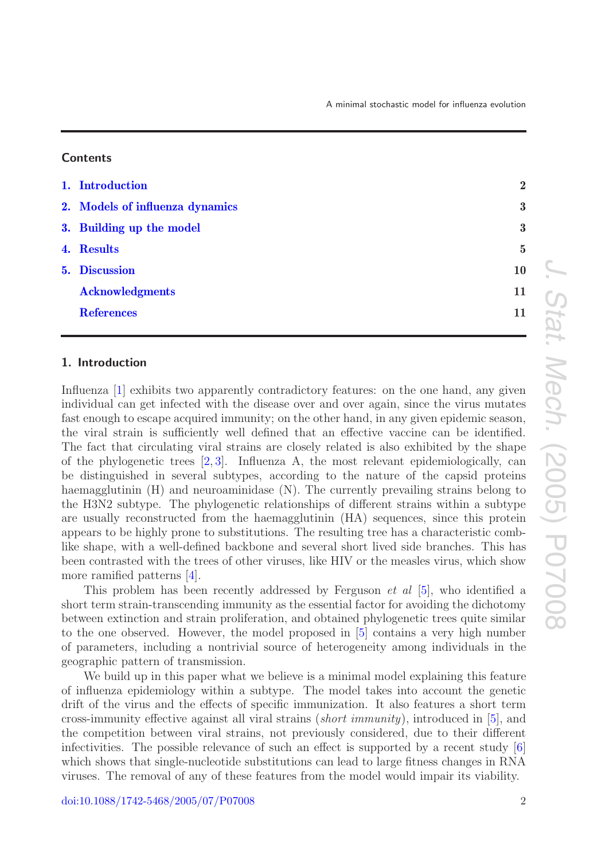| A minimal stochastic model for influenza evolution |  |
|----------------------------------------------------|--|
|----------------------------------------------------|--|

#### **Contents**

| 1. Introduction                 | $\overline{2}$ |
|---------------------------------|----------------|
| 2. Models of influenza dynamics | $\bf{3}$       |
| 3. Building up the model        | $\bf{3}$       |
| 4. Results                      | $\overline{5}$ |
| 5. Discussion                   | 10             |
| <b>Acknowledgments</b>          | 11             |
| <b>References</b>               | 11             |

# <span id="page-1-0"></span>**1. Introduction**

Influenza [\[1\]](#page-10-3) exhibits two apparently contradictory features: on the one hand, any given individual can get infected with the disease over and over again, since the virus mutates fast enough to escape acquired immunity; on the other hand, in any given epidemic season, the viral strain is sufficiently well defined that an effective vaccine can be identified. The fact that circulating viral strains are closely related is also exhibited by the shape of the phylogenetic trees [\[2,](#page-10-4) [3\]](#page-10-5). Influenza A, the most relevant epidemiologically, can be distinguished in several subtypes, according to the nature of the capsid proteins haemagglutinin (H) and neuroaminidase (N). The currently prevailing strains belong to the H3N2 subtype. The phylogenetic relationships of different strains within a subtype are usually reconstructed from the haemagglutinin (HA) sequences, since this protein appears to be highly prone to substitutions. The resulting tree has a characteristic comblike shape, with a well-defined backbone and several short lived side branches. This has been contrasted with the trees of other viruses, like HIV or the measles virus, which show more ramified patterns [\[4\]](#page-10-6).

This problem has been recently addressed by Ferguson et al [\[5\]](#page-10-7), who identified a short term strain-transcending immunity as the essential factor for avoiding the dichotomy between extinction and strain proliferation, and obtained phylogenetic trees quite similar to the one observed. However, the model proposed in [\[5\]](#page-10-7) contains a very high number of parameters, including a nontrivial source of heterogeneity among individuals in the geographic pattern of transmission.

We build up in this paper what we believe is a minimal model explaining this feature of influenza epidemiology within a subtype. The model takes into account the genetic drift of the virus and the effects of specific immunization. It also features a short term cross-immunity effective against all viral strains (short immunity), introduced in [\[5\]](#page-10-7), and the competition between viral strains, not previously considered, due to their different infectivities. The possible relevance of such an effect is supported by a recent study  $\lbrack 6 \rbrack$ which shows that single-nucleotide substitutions can lead to large fitness changes in RNA viruses. The removal of any of these features from the model would impair its viability.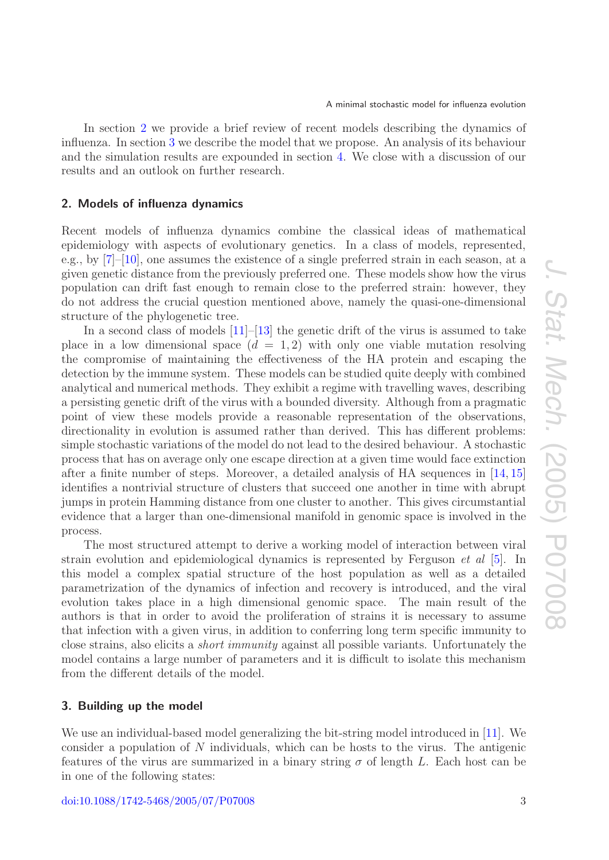In section [2](#page-2-0) we provide a brief review of recent models describing the dynamics of influenza. In section [3](#page-2-1) we describe the model that we propose. An analysis of its behaviour and the simulation results are expounded in section [4.](#page-4-0) We close with a discussion of our results and an outlook on further research.

# <span id="page-2-0"></span>**2. Models of influenza dynamics**

Recent models of influenza dynamics combine the classical ideas of mathematical epidemiology with aspects of evolutionary genetics. In a class of models, represented, e.g., by [\[7\]](#page-10-9)–[\[10\]](#page-10-10), one assumes the existence of a single preferred strain in each season, at a given genetic distance from the previously preferred one. These models show how the virus population can drift fast enough to remain close to the preferred strain: however, they do not address the crucial question mentioned above, namely the quasi-one-dimensional structure of the phylogenetic tree.

In a second class of models  $[11]-[13]$  $[11]-[13]$  $[11]-[13]$  the genetic drift of the virus is assumed to take place in a low dimensional space  $(d = 1, 2)$  with only one viable mutation resolving the compromise of maintaining the effectiveness of the HA protein and escaping the detection by the immune system. These models can be studied quite deeply with combined analytical and numerical methods. They exhibit a regime with travelling waves, describing a persisting genetic drift of the virus with a bounded diversity. Although from a pragmatic point of view these models provide a reasonable representation of the observations, directionality in evolution is assumed rather than derived. This has different problems: simple stochastic variations of the model do not lead to the desired behaviour. A stochastic process that has on average only one escape direction at a given time would face extinction after a finite number of steps. Moreover, a detailed analysis of HA sequences in [\[14,](#page-10-13) [15\]](#page-10-14) identifies a nontrivial structure of clusters that succeed one another in time with abrupt jumps in protein Hamming distance from one cluster to another. This gives circumstantial evidence that a larger than one-dimensional manifold in genomic space is involved in the process.

The most structured attempt to derive a working model of interaction between viral strain evolution and epidemiological dynamics is represented by Ferguson et al [\[5\]](#page-10-7). In this model a complex spatial structure of the host population as well as a detailed parametrization of the dynamics of infection and recovery is introduced, and the viral evolution takes place in a high dimensional genomic space. The main result of the authors is that in order to avoid the proliferation of strains it is necessary to assume that infection with a given virus, in addition to conferring long term specific immunity to close strains, also elicits a short immunity against all possible variants. Unfortunately the model contains a large number of parameters and it is difficult to isolate this mechanism from the different details of the model.

### <span id="page-2-1"></span>**3. Building up the model**

We use an individual-based model generalizing the bit-string model introduced in [\[11\]](#page-10-11). We consider a population of N individuals, which can be hosts to the virus. The antigenic features of the virus are summarized in a binary string  $\sigma$  of length L. Each host can be in one of the following states: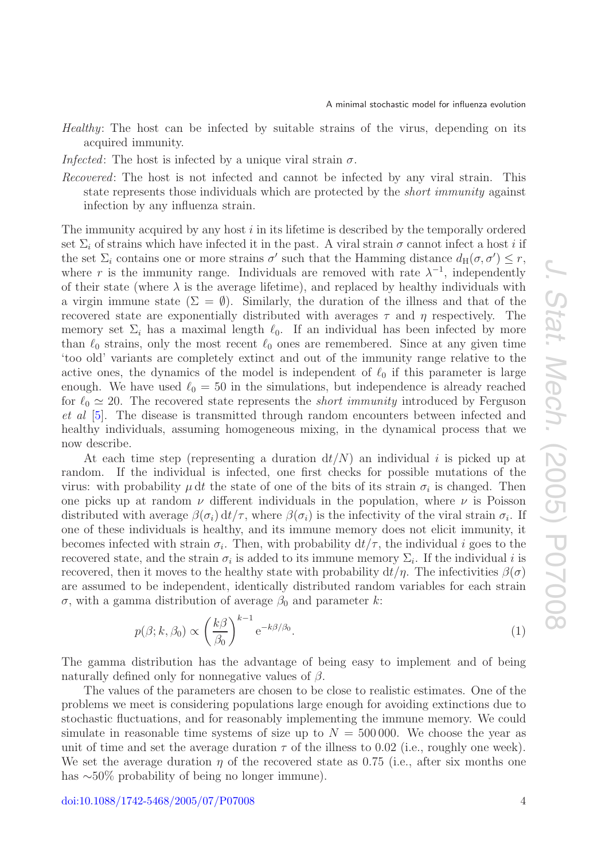Healthy: The host can be infected by suitable strains of the virus, depending on its acquired immunity.

*Infected*: The host is infected by a unique viral strain  $\sigma$ .

Recovered: The host is not infected and cannot be infected by any viral strain. This state represents those individuals which are protected by the short immunity against infection by any influenza strain.

The immunity acquired by any host  $i$  in its lifetime is described by the temporally ordered set  $\Sigma_i$  of strains which have infected it in the past. A viral strain  $\sigma$  cannot infect a host i if the set  $\Sigma_i$  contains one or more strains  $\sigma'$  such that the Hamming distance  $d_H(\sigma, \sigma') \leq r$ , where r is the immunity range. Individuals are removed with rate  $\lambda^{-1}$ , independently of their state (where  $\lambda$  is the average lifetime), and replaced by healthy individuals with a virgin immune state  $(\Sigma = \emptyset)$ . Similarly, the duration of the illness and that of the recovered state are exponentially distributed with averages  $\tau$  and  $\eta$  respectively. The memory set  $\Sigma_i$  has a maximal length  $\ell_0$ . If an individual has been infected by more than  $\ell_0$  strains, only the most recent  $\ell_0$  ones are remembered. Since at any given time 'too old' variants are completely extinct and out of the immunity range relative to the active ones, the dynamics of the model is independent of  $\ell_0$  if this parameter is large enough. We have used  $\ell_0 = 50$  in the simulations, but independence is already reached for  $\ell_0 \simeq 20$ . The recovered state represents the *short immunity* introduced by Ferguson et al [\[5\]](#page-10-7). The disease is transmitted through random encounters between infected and healthy individuals, assuming homogeneous mixing, in the dynamical process that we now describe.

At each time step (representing a duration  $dt/N$ ) an individual i is picked up at random. If the individual is infected, one first checks for possible mutations of the virus: with probability  $\mu$  dt the state of one of the bits of its strain  $\sigma_i$  is changed. Then one picks up at random  $\nu$  different individuals in the population, where  $\nu$  is Poisson distributed with average  $\beta(\sigma_i) dt/\tau$ , where  $\beta(\sigma_i)$  is the infectivity of the viral strain  $\sigma_i$ . If one of these individuals is healthy, and its immune memory does not elicit immunity, it becomes infected with strain  $\sigma_i$ . Then, with probability  $dt/\tau$ , the individual i goes to the recovered state, and the strain  $\sigma_i$  is added to its immune memory  $\Sigma_i$ . If the individual i is recovered, then it moves to the healthy state with probability  $dt/\eta$ . The infectivities  $\beta(\sigma)$ are assumed to be independent, identically distributed random variables for each strain σ, with a gamma distribution of average  $β_0$  and parameter k:

$$
p(\beta; k, \beta_0) \propto \left(\frac{k\beta}{\beta_0}\right)^{k-1} e^{-k\beta/\beta_0}.\tag{1}
$$

The gamma distribution has the advantage of being easy to implement and of being naturally defined only for nonnegative values of  $\beta$ .

The values of the parameters are chosen to be close to realistic estimates. One of the problems we meet is considering populations large enough for avoiding extinctions due to stochastic fluctuations, and for reasonably implementing the immune memory. We could simulate in reasonable time systems of size up to  $N = 500000$ . We choose the year as unit of time and set the average duration  $\tau$  of the illness to 0.02 (i.e., roughly one week). We set the average duration  $\eta$  of the recovered state as 0.75 (i.e., after six months one has ∼50% probability of being no longer immune).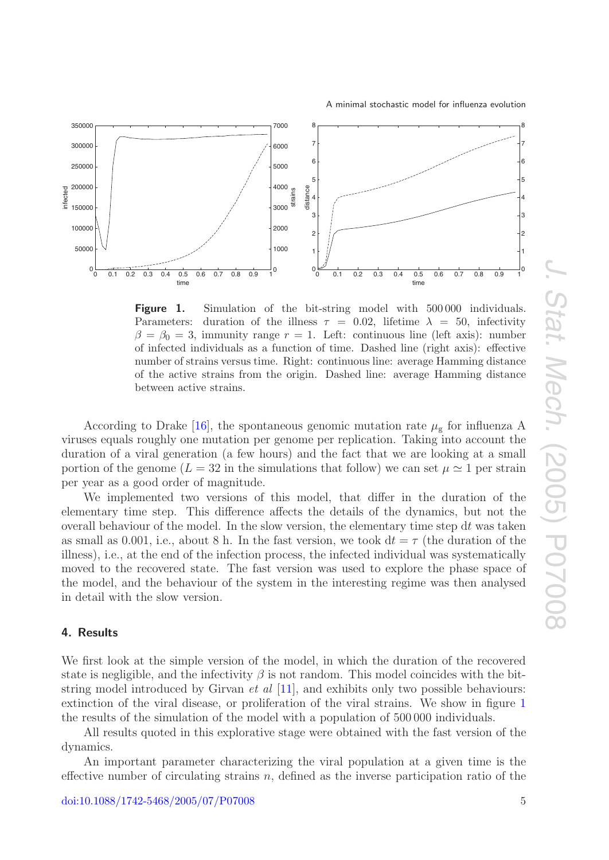

<span id="page-4-1"></span>

**Figure 1.** Simulation of the bit-string model with 500000 individuals. Parameters: duration of the illness  $\tau = 0.02$ , lifetime  $\lambda = 50$ , infectivity  $\beta = \beta_0 = 3$ , immunity range  $r = 1$ . Left: continuous line (left axis): number of infected individuals as a function of time. Dashed line (right axis): effective number of strains versus time. Right: continuous line: average Hamming distance of the active strains from the origin. Dashed line: average Hamming distance between active strains.

According to Drake [\[16\]](#page-10-15), the spontaneous genomic mutation rate  $\mu_{\rm g}$  for influenza A viruses equals roughly one mutation per genome per replication. Taking into account the duration of a viral generation (a few hours) and the fact that we are looking at a small portion of the genome ( $L = 32$  in the simulations that follow) we can set  $\mu \approx 1$  per strain per year as a good order of magnitude.

We implemented two versions of this model, that differ in the duration of the elementary time step. This difference affects the details of the dynamics, but not the overall behaviour of the model. In the slow version, the elementary time step  $dt$  was taken as small as 0.001, i.e., about 8 h. In the fast version, we took  $dt = \tau$  (the duration of the illness), i.e., at the end of the infection process, the infected individual was systematically moved to the recovered state. The fast version was used to explore the phase space of the model, and the behaviour of the system in the interesting regime was then analysed in detail with the slow version.

#### <span id="page-4-0"></span>**4. Results**

We first look at the simple version of the model, in which the duration of the recovered state is negligible, and the infectivity  $\beta$  is not random. This model coincides with the bitstring model introduced by Girvan *et al* [\[11\]](#page-10-11), and exhibits only two possible behaviours: extinction of the viral disease, or proliferation of the viral strains. We show in figure [1](#page-4-1) the results of the simulation of the model with a population of 500 000 individuals.

All results quoted in this explorative stage were obtained with the fast version of the dynamics.

An important parameter characterizing the viral population at a given time is the effective number of circulating strains  $n$ , defined as the inverse participation ratio of the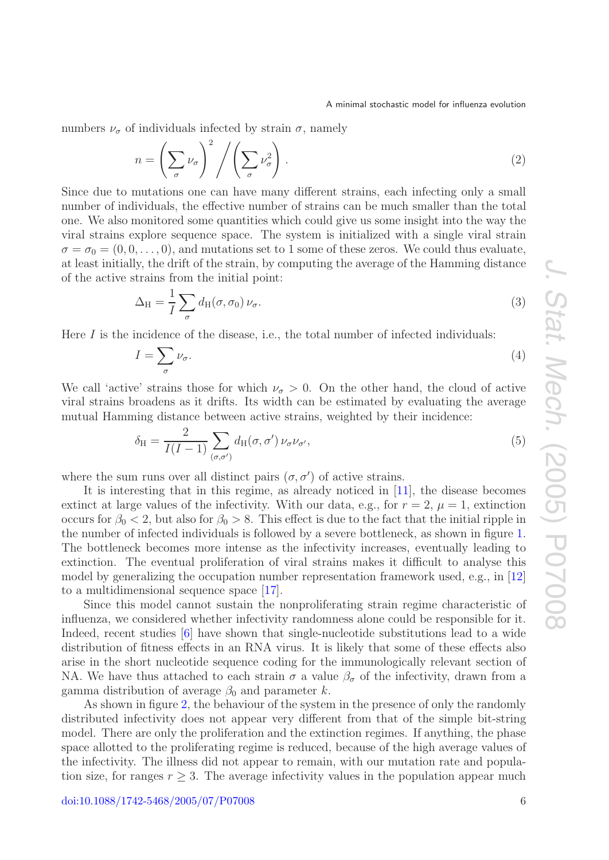numbers  $\nu_{\sigma}$  of individuals infected by strain  $\sigma$ , namely

$$
n = \left(\sum_{\sigma} \nu_{\sigma}\right)^2 / \left(\sum_{\sigma} \nu_{\sigma}^2\right). \tag{2}
$$

Since due to mutations one can have many different strains, each infecting only a small number of individuals, the effective number of strains can be much smaller than the total one. We also monitored some quantities which could give us some insight into the way the viral strains explore sequence space. The system is initialized with a single viral strain  $\sigma = \sigma_0 = (0, 0, \ldots, 0)$ , and mutations set to 1 some of these zeros. We could thus evaluate, at least initially, the drift of the strain, by computing the average of the Hamming distance of the active strains from the initial point:

$$
\Delta_{\rm H} = \frac{1}{I} \sum_{\sigma} d_{\rm H}(\sigma, \sigma_0) \nu_{\sigma}.
$$
\n(3)

Here  $I$  is the incidence of the disease, i.e., the total number of infected individuals:

$$
I = \sum_{\sigma} \nu_{\sigma}.\tag{4}
$$

We call 'active' strains those for which  $\nu_{\sigma} > 0$ . On the other hand, the cloud of active viral strains broadens as it drifts. Its width can be estimated by evaluating the average mutual Hamming distance between active strains, weighted by their incidence:

$$
\delta_{\rm H} = \frac{2}{I(I-1)} \sum_{(\sigma,\sigma')} d_{\rm H}(\sigma,\sigma') \nu_{\sigma} \nu_{\sigma'},\tag{5}
$$

where the sum runs over all distinct pairs  $(\sigma, \sigma')$  of active strains.

It is interesting that in this regime, as already noticed in [\[11\]](#page-10-11), the disease becomes extinct at large values of the infectivity. With our data, e.g., for  $r = 2$ ,  $\mu = 1$ , extinction occurs for  $\beta_0 < 2$ , but also for  $\beta_0 > 8$ . This effect is due to the fact that the initial ripple in the number of infected individuals is followed by a severe bottleneck, as shown in figure [1.](#page-4-1) The bottleneck becomes more intense as the infectivity increases, eventually leading to extinction. The eventual proliferation of viral strains makes it difficult to analyse this model by generalizing the occupation number representation framework used, e.g., in [\[12\]](#page-10-16) to a multidimensional sequence space [\[17\]](#page-10-17).

Since this model cannot sustain the nonproliferating strain regime characteristic of influenza, we considered whether infectivity randomness alone could be responsible for it. Indeed, recent studies [\[6\]](#page-10-8) have shown that single-nucleotide substitutions lead to a wide distribution of fitness effects in an RNA virus. It is likely that some of these effects also arise in the short nucleotide sequence coding for the immunologically relevant section of NA. We have thus attached to each strain  $\sigma$  a value  $\beta_{\sigma}$  of the infectivity, drawn from a gamma distribution of average  $\beta_0$  and parameter k.

As shown in figure [2,](#page-6-0) the behaviour of the system in the presence of only the randomly distributed infectivity does not appear very different from that of the simple bit-string model. There are only the proliferation and the extinction regimes. If anything, the phase space allotted to the proliferating regime is reduced, because of the high average values of the infectivity. The illness did not appear to remain, with our mutation rate and population size, for ranges  $r \geq 3$ . The average infectivity values in the population appear much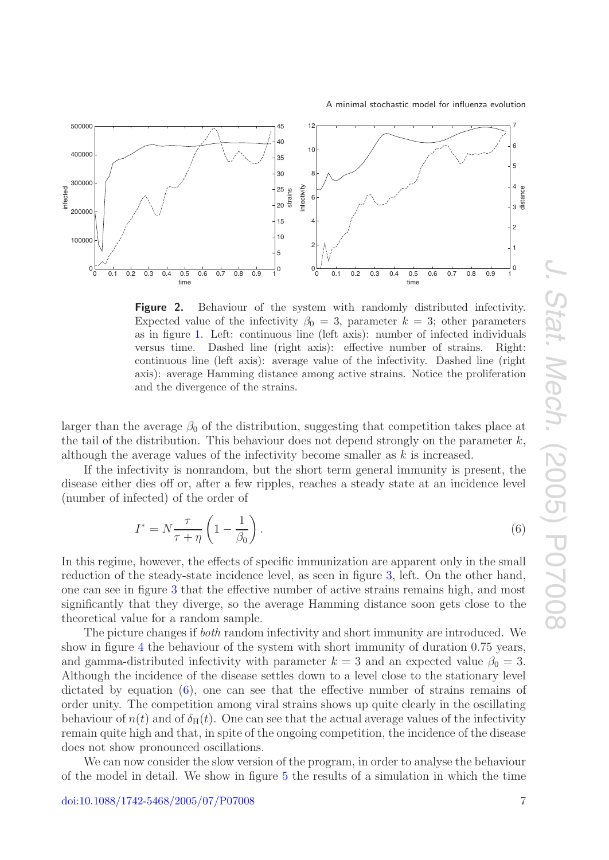

<span id="page-6-0"></span>

**Figure 2.** Behaviour of the system with randomly distributed infectivity. Expected value of the infectivity  $\beta_0 = 3$ , parameter  $k = 3$ ; other parameters as in figure [1.](#page-4-1) Left: continuous line (left axis): number of infected individuals versus time. Dashed line (right axis): effective number of strains. Right: continuous line (left axis): average value of the infectivity. Dashed line (right axis): average Hamming distance among active strains. Notice the proliferation and the divergence of the strains.

larger than the average  $\beta_0$  of the distribution, suggesting that competition takes place at the tail of the distribution. This behaviour does not depend strongly on the parameter  $k$ , although the average values of the infectivity become smaller as  $k$  is increased.

If the infectivity is nonrandom, but the short term general immunity is present, the disease either dies off or, after a few ripples, reaches a steady state at an incidence level (number of infected) of the order of

<span id="page-6-1"></span>
$$
I^* = N \frac{\tau}{\tau + \eta} \left( 1 - \frac{1}{\beta_0} \right). \tag{6}
$$

In this regime, however, the effects of specific immunization are apparent only in the small reduction of the steady-state incidence level, as seen in figure [3,](#page-7-0) left. On the other hand, one can see in figure [3](#page-7-0) that the effective number of active strains remains high, and most significantly that they diverge, so the average Hamming distance soon gets close to the theoretical value for a random sample.

The picture changes if both random infectivity and short immunity are introduced. We show in figure [4](#page-8-0) the behaviour of the system with short immunity of duration 0.75 years, and gamma-distributed infectivity with parameter  $k = 3$  and an expected value  $\beta_0 = 3$ . Although the incidence of the disease settles down to a level close to the stationary level dictated by equation [\(6\)](#page-6-1), one can see that the effective number of strains remains of order unity. The competition among viral strains shows up quite clearly in the oscillating behaviour of  $n(t)$  and of  $\delta_H(t)$ . One can see that the actual average values of the infectivity remain quite high and that, in spite of the ongoing competition, the incidence of the disease does not show pronounced oscillations.

We can now consider the slow version of the program, in order to analyse the behaviour of the model in detail. We show in figure [5](#page-8-1) the results of a simulation in which the time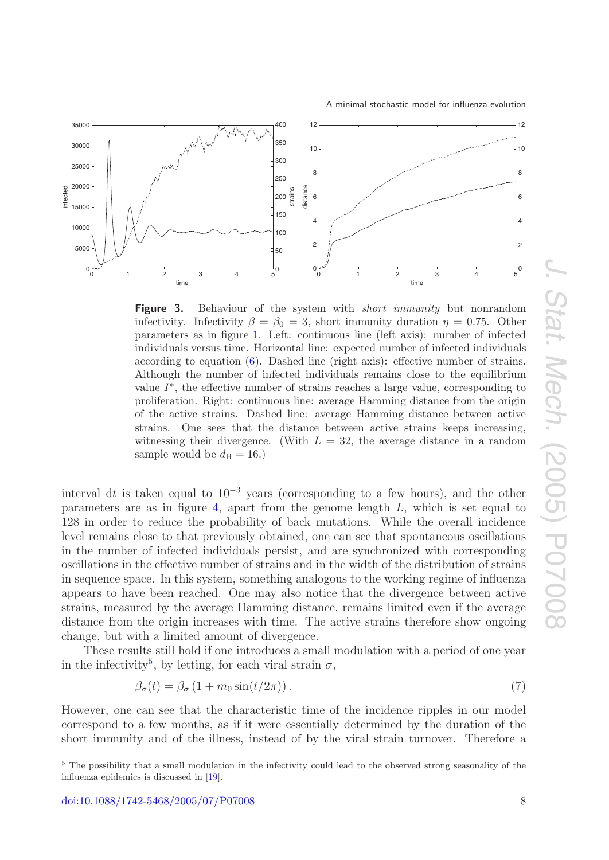

<span id="page-7-0"></span>

**Figure 3.** Behaviour of the system with *short immunity* but nonrandom infectivity. Infectivity  $\beta = \beta_0 = 3$ , short immunity duration  $\eta = 0.75$ . Other parameters as in figure [1.](#page-4-1) Left: continuous line (left axis): number of infected individuals versus time. Horizontal line: expected number of infected individuals according to equation [\(6\)](#page-6-1). Dashed line (right axis): effective number of strains. Although the number of infected individuals remains close to the equilibrium value  $I^*$ , the effective number of strains reaches a large value, corresponding to proliferation. Right: continuous line: average Hamming distance from the origin of the active strains. Dashed line: average Hamming distance between active strains. One sees that the distance between active strains keeps increasing, witnessing their divergence. (With  $L = 32$ , the average distance in a random sample would be  $d_{\rm H} = 16.$ )

interval dt is taken equal to  $10^{-3}$  years (corresponding to a few hours), and the other parameters are as in figure [4,](#page-8-0) apart from the genome length L, which is set equal to 128 in order to reduce the probability of back mutations. While the overall incidence level remains close to that previously obtained, one can see that spontaneous oscillations in the number of infected individuals persist, and are synchronized with corresponding oscillations in the effective number of strains and in the width of the distribution of strains in sequence space. In this system, something analogous to the working regime of influenza appears to have been reached. One may also notice that the divergence between active strains, measured by the average Hamming distance, remains limited even if the average distance from the origin increases with time. The active strains therefore show ongoing change, but with a limited amount of divergence.

These results still hold if one introduces a small modulation with a period of one year in the infectivity<sup>[5](#page-7-1)</sup>, by letting, for each viral strain  $\sigma$ ,

<span id="page-7-2"></span>
$$
\beta_{\sigma}(t) = \beta_{\sigma} \left( 1 + m_0 \sin(t/2\pi) \right). \tag{7}
$$

However, one can see that the characteristic time of the incidence ripples in our model correspond to a few months, as if it were essentially determined by the duration of the short immunity and of the illness, instead of by the viral strain turnover. Therefore a

<span id="page-7-1"></span><sup>5</sup> The possibility that a small modulation in the infectivity could lead to the observed strong seasonality of the influenza epidemics is discussed in [\[19\]](#page-10-18).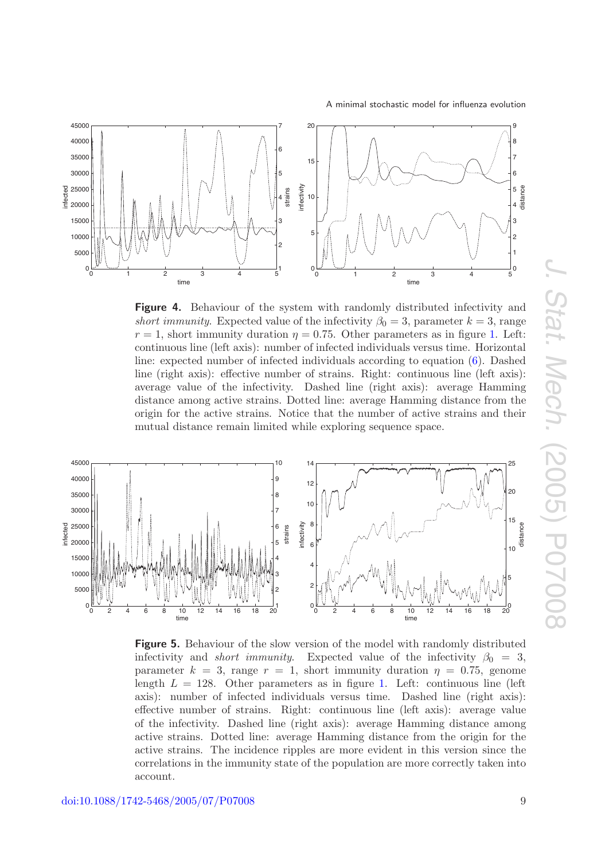<span id="page-8-0"></span>

**Figure 4.** Behaviour of the system with randomly distributed infectivity and short immunity. Expected value of the infectivity  $\beta_0 = 3$ , parameter  $k = 3$ , range  $r = 1$ , short immunity duration  $\eta = 0.75$ . Other parameters as in figure [1.](#page-4-1) Left: continuous line (left axis): number of infected individuals versus time. Horizontal line: expected number of infected individuals according to equation [\(6\)](#page-6-1). Dashed line (right axis): effective number of strains. Right: continuous line (left axis): average value of the infectivity. Dashed line (right axis): average Hamming distance among active strains. Dotted line: average Hamming distance from the origin for the active strains. Notice that the number of active strains and their mutual distance remain limited while exploring sequence space.

<span id="page-8-1"></span>

**Figure 5.** Behaviour of the slow version of the model with randomly distributed infectivity and *short immunity*. Expected value of the infectivity  $\beta_0 = 3$ , parameter  $k = 3$ , range  $r = 1$ , short immunity duration  $\eta = 0.75$ , genome length  $L = 128$ . Other parameters as in figure [1.](#page-4-1) Left: continuous line (left) axis): number of infected individuals versus time. Dashed line (right axis): effective number of strains. Right: continuous line (left axis): average value of the infectivity. Dashed line (right axis): average Hamming distance among active strains. Dotted line: average Hamming distance from the origin for the active strains. The incidence ripples are more evident in this version since the correlations in the immunity state of the population are more correctly taken into account.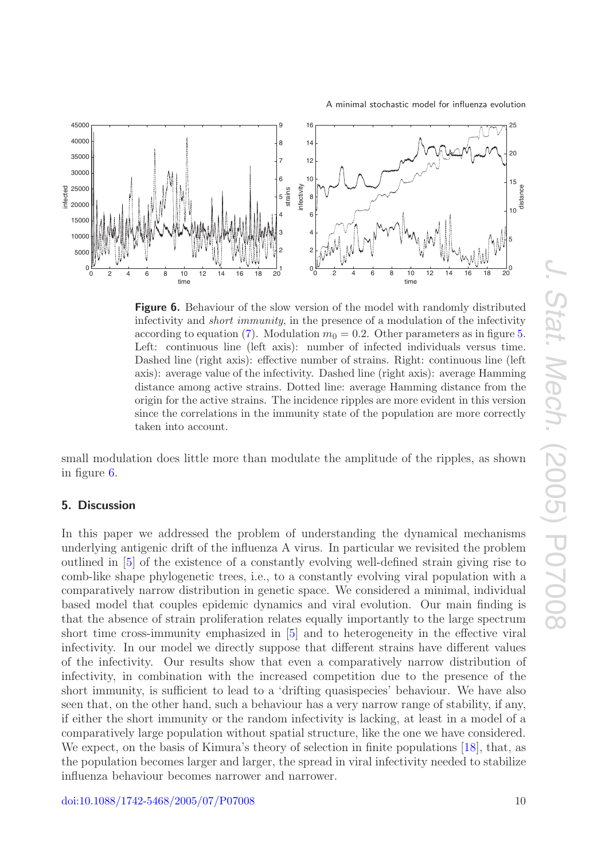

<span id="page-9-1"></span>

**Figure 6.** Behaviour of the slow version of the model with randomly distributed infectivity and *short immunity*, in the presence of a modulation of the infectivity according to equation [\(7\)](#page-7-2). Modulation  $m_0 = 0.2$ . Other parameters as in figure [5.](#page-8-1) Left: continuous line (left axis): number of infected individuals versus time. Dashed line (right axis): effective number of strains. Right: continuous line (left axis): average value of the infectivity. Dashed line (right axis): average Hamming distance among active strains. Dotted line: average Hamming distance from the origin for the active strains. The incidence ripples are more evident in this version since the correlations in the immunity state of the population are more correctly taken into account.

small modulation does little more than modulate the amplitude of the ripples, as shown in figure [6.](#page-9-1)

# <span id="page-9-0"></span>**5. Discussion**

In this paper we addressed the problem of understanding the dynamical mechanisms underlying antigenic drift of the influenza A virus. In particular we revisited the problem outlined in [\[5\]](#page-10-7) of the existence of a constantly evolving well-defined strain giving rise to comb-like shape phylogenetic trees, i.e., to a constantly evolving viral population with a comparatively narrow distribution in genetic space. We considered a minimal, individual based model that couples epidemic dynamics and viral evolution. Our main finding is that the absence of strain proliferation relates equally importantly to the large spectrum short time cross-immunity emphasized in [\[5\]](#page-10-7) and to heterogeneity in the effective viral infectivity. In our model we directly suppose that different strains have different values of the infectivity. Our results show that even a comparatively narrow distribution of infectivity, in combination with the increased competition due to the presence of the short immunity, is sufficient to lead to a 'drifting quasispecies' behaviour. We have also seen that, on the other hand, such a behaviour has a very narrow range of stability, if any, if either the short immunity or the random infectivity is lacking, at least in a model of a comparatively large population without spatial structure, like the one we have considered. We expect, on the basis of Kimura's theory of selection in finite populations [\[18\]](#page-10-19), that, as the population becomes larger and larger, the spread in viral infectivity needed to stabilize influenza behaviour becomes narrower and narrower.